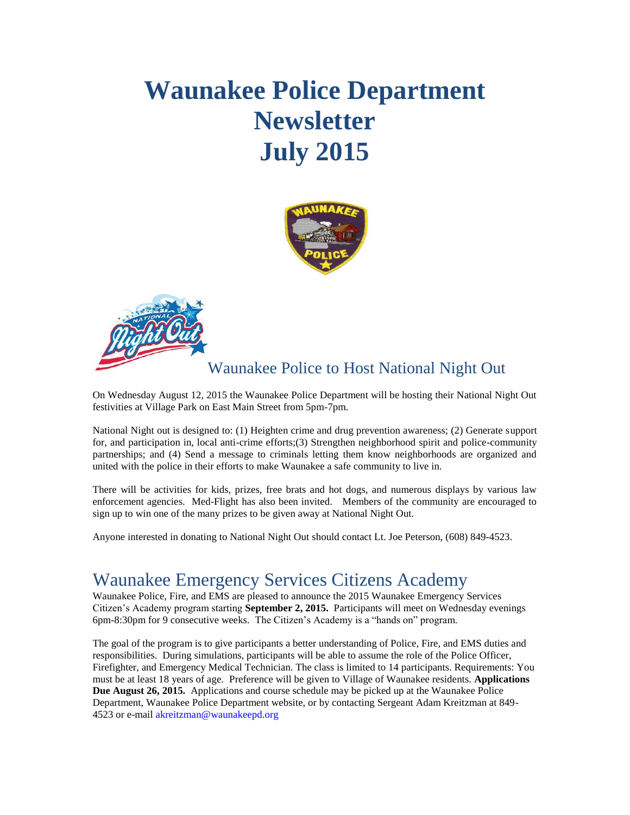# **Waunakee Police Department Newsletter July 2015**





### Waunakee Police to Host National Night Out

On Wednesday August 12, 2015 the Waunakee Police Department will be hosting their National Night Out festivities at Village Park on East Main Street from 5pm-7pm.

National Night out is designed to: (1) Heighten crime and drug prevention awareness; (2) Generate support for, and participation in, local anti-crime efforts;(3) Strengthen neighborhood spirit and police-community partnerships; and (4) Send a message to criminals letting them know neighborhoods are organized and united with the police in their efforts to make Waunakee a safe community to live in.

There will be activities for kids, prizes, free brats and hot dogs, and numerous displays by various law enforcement agencies. Med-Flight has also been invited. Members of the community are encouraged to sign up to win one of the many prizes to be given away at National Night Out.

Anyone interested in donating to National Night Out should contact Lt. Joe Peterson, (608) 849-4523.

## Waunakee Emergency Services Citizens Academy

Waunakee Police, Fire, and EMS are pleased to announce the 2015 Waunakee Emergency Services Citizen's Academy program starting **September 2, 2015.** Participants will meet on Wednesday evenings 6pm-8:30pm for 9 consecutive weeks. The Citizen's Academy is a "hands on" program.

The goal of the program is to give participants a better understanding of Police, Fire, and EMS duties and responsibilities. During simulations, participants will be able to assume the role of the Police Officer, Firefighter, and Emergency Medical Technician. The class is limited to 14 participants. Requirements: You must be at least 18 years of age. Preference will be given to Village of Waunakee residents. **Applications Due August 26, 2015.** Applications and course schedule may be picked up at the Waunakee Police Department, Waunakee Police Department website, or by contacting Sergeant Adam Kreitzman at 849- 4523 or e-mail akreitzman@waunakeepd.org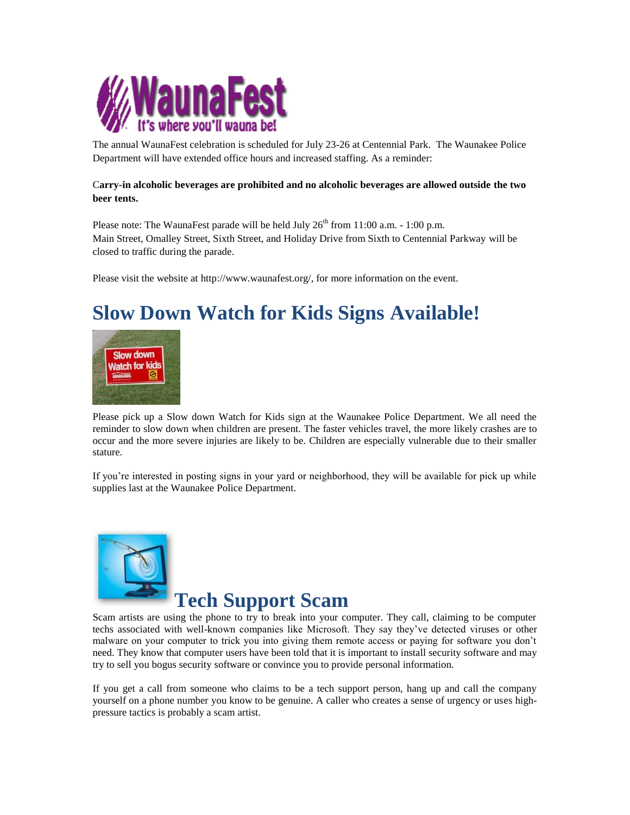

The annual WaunaFest celebration is scheduled for July 23-26 at Centennial Park. The Waunakee Police Department will have extended office hours and increased staffing. As a reminder:

#### C**arry-in alcoholic beverages are prohibited and no alcoholic beverages are allowed outside the two beer tents.**

Please note: The WaunaFest parade will be held July  $26<sup>th</sup>$  from 11:00 a.m. - 1:00 p.m. Main Street, Omalley Street, Sixth Street, and Holiday Drive from Sixth to Centennial Parkway will be closed to traffic during the parade.

Please visit the website at [http://www.waunafest.org/,](http://www.waunafest.org/) for more information on the event.

# **Slow Down Watch for Kids Signs Available!**



Please pick up a Slow down Watch for Kids sign at the Waunakee Police Department. We all need the reminder to slow down when children are present. The faster vehicles travel, the more likely crashes are to occur and the more severe injuries are likely to be. Children are especially vulnerable due to their smaller stature.

If you're interested in posting signs in your yard or neighborhood, they will be available for pick up while supplies last at the Waunakee Police Department.



## **Tech Support Scam**

Scam artists are using the phone to try to break into your computer. They call, claiming to be computer techs associated with well-known companies like Microsoft. They say they've detected viruses or other malware on your computer to trick you into giving them remote access or paying for software you don't need. They know that computer users have been told that it is important to install security software and may try to sell you bogus security software or convince you to provide personal information.

If you get a call from someone who claims to be a tech support person, hang up and call the company yourself on a phone number you know to be genuine. A caller who creates a sense of urgency or uses highpressure tactics is probably a scam artist.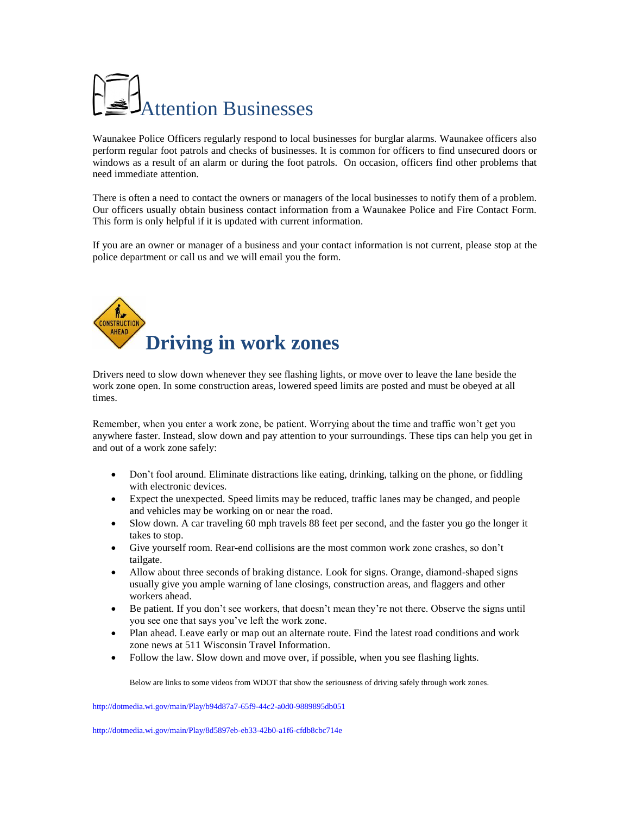# Attention Businesses

Waunakee Police Officers regularly respond to local businesses for burglar alarms. Waunakee officers also perform regular foot patrols and checks of businesses. It is common for officers to find unsecured doors or windows as a result of an alarm or during the foot patrols. On occasion, officers find other problems that need immediate attention.

There is often a need to contact the owners or managers of the local businesses to notify them of a problem. Our officers usually obtain business contact information from a Waunakee Police and Fire Contact Form. This form is only helpful if it is updated with current information.

If you are an owner or manager of a business and your contact information is not current, please stop at the police department or call us and we will email you the form.



Drivers need to slow down whenever they see flashing lights, or move over to leave the lane beside the work zone open. In some construction areas, lowered speed limits are posted and must be obeyed at all times.

Remember, when you enter a work zone, be patient. Worrying about the time and traffic won't get you anywhere faster. Instead, slow down and pay attention to your surroundings. These tips can help you get in and out of a work zone safely:

- Don't fool around. Eliminate distractions like eating, drinking, talking on the phone, or fiddling with electronic devices.
- Expect the unexpected. Speed limits may be reduced, traffic lanes may be changed, and people and vehicles may be working on or near the road.
- Slow down. A car traveling 60 mph travels 88 feet per second, and the faster you go the longer it takes to stop.
- Give yourself room. Rear-end collisions are the most common work zone crashes, so don't tailgate.
- Allow about three seconds of braking distance. Look for signs. Orange, diamond-shaped signs usually give you ample warning of lane closings, construction areas, and flaggers and other workers ahead.
- Be patient. If you don't see workers, that doesn't mean they're not there. Observe the signs until you see one that says you've left the work zone.
- Plan ahead. Leave early or map out an alternate route. Find the latest road conditions and work zone news at 511 [Wisconsin Travel Information.](http://www.511wi.gov/Web/default.aspx)
- Follow the law. Slow down and move over, if possible, when you see flashing lights.

Below are links to some videos from WDOT that show the seriousness of driving safely through work zones.

<http://dotmedia.wi.gov/main/Play/b94d87a7-65f9-44c2-a0d0-9889895db051>

<http://dotmedia.wi.gov/main/Play/8d5897eb-eb33-42b0-a1f6-cfdb8cbc714e>